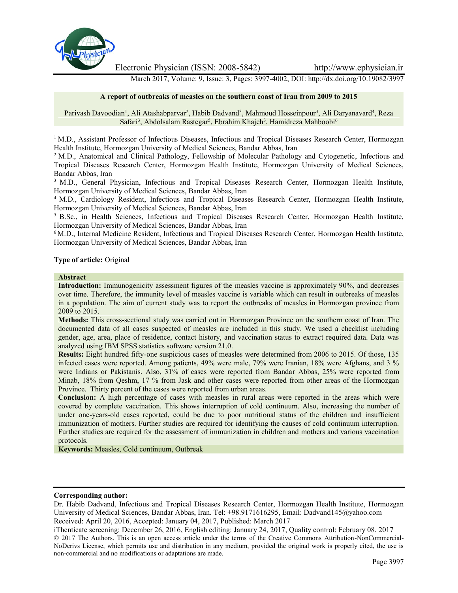

Electronic Physician (ISSN: 2008-5842) http://www.ephysician.ir

March 2017, Volume: 9, Issue: 3, Pages: 3997-4002, DOI: http://dx.doi.org/10.19082/3997

## **A report of outbreaks of measles on the southern coast of Iran from 2009 to 2015**

Parivash Davoodian<sup>1</sup>, Ali Atashabparvar<sup>2</sup>, Habib Dadvand<sup>3</sup>, Mahmoud Hosseinpour<sup>3</sup>, Ali Daryanavard<sup>4</sup>, Reza Safari<sup>3</sup>, Abdolsalam Rastegar<sup>5</sup>, Ebrahim Khajeh<sup>3</sup>, Hamidreza Mahboobi<sup>6</sup>

<sup>1</sup> M.D., Assistant Professor of Infectious Diseases, Infectious and Tropical Diseases Research Center, Hormozgan Health Institute, Hormozgan University of Medical Sciences, Bandar Abbas, Iran

<sup>2</sup> M.D., Anatomical and Clinical Pathology, Fellowship of Molecular Pathology and Cytogenetic, Infectious and Tropical Diseases Research Center, Hormozgan Health Institute, Hormozgan University of Medical Sciences, Bandar Abbas, Iran

<sup>3</sup> M.D., General Physician, Infectious and Tropical Diseases Research Center, Hormozgan Health Institute, Hormozgan University of Medical Sciences, Bandar Abbas, Iran

<sup>4</sup> M.D., Cardiology Resident, Infectious and Tropical Diseases Research Center, Hormozgan Health Institute, Hormozgan University of Medical Sciences, Bandar Abbas, Iran

<sup>5</sup> B.Sc., in Health Sciences, Infectious and Tropical Diseases Research Center, Hormozgan Health Institute, Hormozgan University of Medical Sciences, Bandar Abbas, Iran

<sup>6</sup> M.D., Internal Medicine Resident, Infectious and Tropical Diseases Research Center, Hormozgan Health Institute, Hormozgan University of Medical Sciences, Bandar Abbas, Iran

# **Type of article:** Original

#### **Abstract**

**Introduction:** Immunogenicity assessment figures of the measles vaccine is approximately 90%, and decreases over time. Therefore, the immunity level of measles vaccine is variable which can result in outbreaks of measles in a population. The aim of current study was to report the outbreaks of measles in Hormozgan province from 2009 to 2015.

**Methods:** This cross-sectional study was carried out in Hormozgan Province on the southern coast of Iran. The documented data of all cases suspected of measles are included in this study. We used a checklist including gender, age, area, place of residence, contact history, and vaccination status to extract required data. Data was analyzed using IBM SPSS statistics software version 21.0.

**Results:** Eight hundred fifty-one suspicious cases of measles were determined from 2006 to 2015. Of those, 135 infected cases were reported. Among patients, 49% were male, 79% were Iranian, 18% were Afghans, and 3 % were Indians or Pakistanis. Also, 31% of cases were reported from Bandar Abbas, 25% were reported from Minab, 18% from Qeshm, 17 % from Jask and other cases were reported from other areas of the Hormozgan Province. Thirty percent of the cases were reported from urban areas.

**Conclusion:** A high percentage of cases with measles in rural areas were reported in the areas which were covered by complete vaccination. This shows interruption of cold continuum. Also, increasing the number of under one-years-old cases reported, could be due to poor nutritional status of the children and insufficient immunization of mothers. Further studies are required for identifying the causes of cold continuum interruption. Further studies are required for the assessment of immunization in children and mothers and various vaccination protocols.

**Keywords:** Measles, Cold continuum, Outbreak

# **Corresponding author:**

Dr. Habib Dadvand, Infectious and Tropical Diseases Research Center, Hormozgan Health Institute, Hormozgan University of Medical Sciences, Bandar Abbas, Iran. Tel: +98.9171616295, Email: Dadvand145@yahoo.com Received: April 20, 2016, Accepted: January 04, 2017, Published: March 2017

iThenticate screening: December 26, 2016, English editing: January 24, 2017, Quality control: February 08, 2017 © 2017 The Authors. This is an open access article under the terms of the Creative Commons Attribution-NonCommercial- NoDerivs License, which permits use and distribution in any medium, provided the original work is properly cited, the use is non-commercial and no modifications or adaptations are made.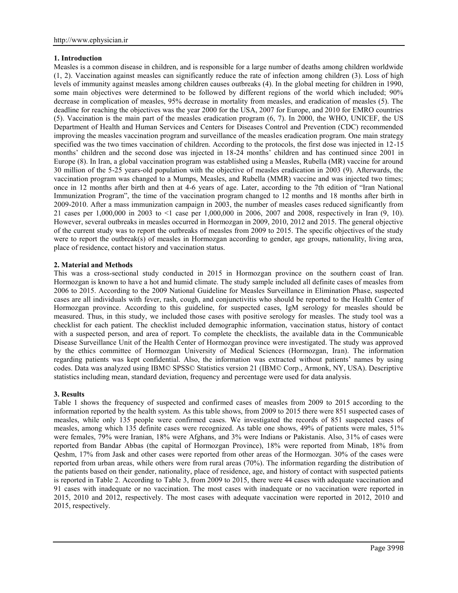# **1. Introduction**

Measles is a common disease in children, and is responsible for a large number of deaths among children worldwide (1, 2). Vaccination against measles can significantly reduce the rate of infection among children (3). Loss of high levels of immunity against measles among children causes outbreaks (4). In the global meeting for children in 1990, some main objectives were determined to be followed by different regions of the world which included; 90% decrease in complication of measles, 95% decrease in mortality from measles, and eradication of measles (5). The deadline for reaching the objectives was the year 2000 for the USA, 2007 for Europe, and 2010 for EMRO countries (5). Vaccination is the main part of the measles eradication program (6, 7). In 2000, the WHO, UNICEF, the US Department of Health and Human Services and Centers for Diseases Control and Prevention (CDC) recommended improving the measles vaccination program and surveillance of the measles eradication program. One main strategy specified was the two times vaccination of children. According to the protocols, the first dose was injected in 12-15 months' children and the second dose was injected in 18-24 months' children and has continued since 2001 in Europe (8). In Iran, a global vaccination program was established using a Measles, Rubella (MR) vaccine for around 30 million of the 5-25 years-old population with the objective of measles eradication in 2003 (9). Afterwards, the vaccination program was changed to a Mumps, Measles, and Rubella (MMR) vaccine and was injected two times; once in 12 months after birth and then at 4-6 years of age. Later, according to the 7th edition of "Iran National Immunization Program", the time of the vaccination program changed to 12 months and 18 months after birth in 2009-2010. After a mass immunization campaign in 2003, the number of measles cases reduced significantly from 21 cases per 1,000,000 in 2003 to <1 case per 1,000,000 in 2006, 2007 and 2008, respectively in Iran (9, 10). However, several outbreaks in measles occurred in Hormozgan in 2009, 2010, 2012 and 2015. The general objective of the current study was to report the outbreaks of measles from 2009 to 2015. The specific objectives of the study were to report the outbreak(s) of measles in Hormozgan according to gender, age groups, nationality, living area, place of residence, contact history and vaccination status.

## **2. Material and Methods**

This was a cross-sectional study conducted in 2015 in Hormozgan province on the southern coast of Iran. Hormozgan is known to have a hot and humid climate. The study sample included all definite cases of measles from 2006 to 2015. According to the 2009 National Guideline for Measles Surveillance in Elimination Phase, suspected cases are all individuals with fever, rash, cough, and conjunctivitis who should be reported to the Health Center of Hormozgan province. According to this guideline, for suspected cases, IgM serology for measles should be measured. Thus, in this study, we included those cases with positive serology for measles. The study tool was a checklist for each patient. The checklist included demographic information, vaccination status, history of contact with a suspected person, and area of report. To complete the checklists, the available data in the Communicable Disease Surveillance Unit of the Health Center of Hormozgan province were investigated. The study was approved by the ethics committee of Hormozgan University of Medical Sciences (Hormozgan, Iran). The information regarding patients was kept confidential. Also, the information was extracted without patients' names by using codes. Data was analyzed using IBM© SPSS© Statistics version 21 (IBM© Corp., Armonk, NY, USA). Descriptive statistics including mean, standard deviation, frequency and percentage were used for data analysis.

#### **3. Results**

Table 1 shows the frequency of suspected and confirmed cases of measles from 2009 to 2015 according to the information reported by the health system. As this table shows, from 2009 to 2015 there were 851 suspected cases of measles, while only 135 people were confirmed cases. We investigated the records of 851 suspected cases of measles, among which 135 definite cases were recognized. As table one shows, 49% of patients were males, 51% were females, 79% were Iranian, 18% were Afghans, and 3% were Indians or Pakistanis. Also, 31% of cases were reported from Bandar Abbas (the capital of Hormozgan Province), 18% were reported from Minab, 18% from Qeshm, 17% from Jask and other cases were reported from other areas of the Hormozgan. 30% of the cases were reported from urban areas, while others were from rural areas (70%). The information regarding the distribution of the patients based on their gender, nationality, place of residence, age, and history of contact with suspected patients is reported in Table 2. According to Table 3, from 2009 to 2015, there were 44 cases with adequate vaccination and 91 cases with inadequate or no vaccination. The most cases with inadequate or no vaccination were reported in 2015, 2010 and 2012, respectively. The most cases with adequate vaccination were reported in 2012, 2010 and 2015, respectively.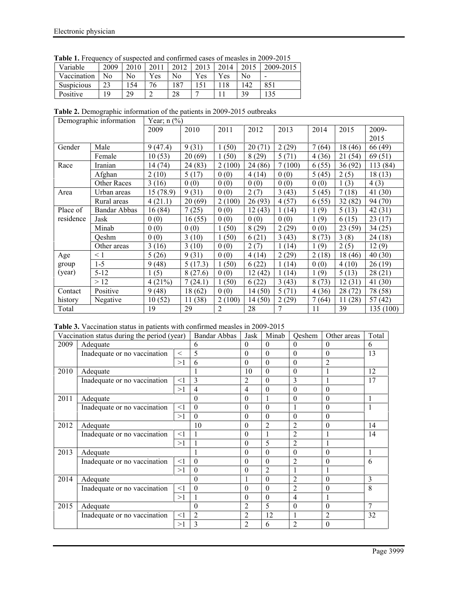| <b>THEIR IS I TUGGUIU Y OI BUBBUCCU UNU CONNINGU CUBUB OI INCUBIUS IN 2007 2019</b> |      |      |      |                |      |            |      |           |
|-------------------------------------------------------------------------------------|------|------|------|----------------|------|------------|------|-----------|
| Variable                                                                            | 2009 | 2010 | 2011 | 2012           | 2013 | 2014       | 2015 | 2009-2015 |
| Vaccination                                                                         | No   | No.  | Yes  | N <sub>0</sub> | Yes. | <b>Yes</b> | No   |           |
| <b>Suspicious</b>                                                                   |      | 54   | 76   | .87            |      |            | 142  | 851       |
| Positive                                                                            | 1 Q  | 29   |      | 28             |      |            | 39   | 135       |

**Table 1.** Frequency of suspected and confirmed cases of measles in 2009-2015

**Table 2.** Demographic information of the patients in 2009-2015 outbreaks

| Demographic information |                     | Year; $n$ $%$ ) |         |                |         |        |        |         |           |  |
|-------------------------|---------------------|-----------------|---------|----------------|---------|--------|--------|---------|-----------|--|
|                         |                     | 2009            | 2010    | 2011           | 2012    | 2013   | 2014   | 2015    | 2009-     |  |
|                         |                     |                 |         |                |         |        |        |         | 2015      |  |
| Gender                  | Male                | 9(47.4)         | 9(31)   | 1(50)          | 20(71)  | 2(29)  | 7(64)  | 18 (46) | 66 (49)   |  |
|                         | Female              | 10(53)          | 20(69)  | (50)           | 8(29)   | 5(71)  | 4(36)  | 21(54)  | 69(51)    |  |
| Race                    | Iranian             | 14 (74)         | 24(83)  | 2(100)         | 24 (86) | 7(100) | 6(55)  | 36(92)  | 113(84)   |  |
|                         | Afghan              | 2(10)           | 5(17)   | 0(0)           | 4 (14)  | 0(0)   | 5(45)  | 2(5)    | 18(13)    |  |
|                         | Other Races         | 3(16)           | 0(0)    | 0(0)           | 0(0)    | 0(0)   | 0(0)   | 1(3)    | 4(3)      |  |
| Area                    | Urban areas         | 15(78.9)        | 9(31)   | 0(0)           | 2(7)    | 3(43)  | 5(45)  | 7(18)   | 41(30)    |  |
|                         | Rural areas         | 4(21.1)         | 20(69)  | 2(100)         | 26(93)  | 4(57)  | 6(55)  | 32(82)  | 94 (70)   |  |
| Place of                | <b>Bandar Abbas</b> | 16(84)          | 7(25)   | 0(0)           | 12(43)  | 1(14)  | (9)    | 5(13)   | 42(31)    |  |
| residence               | Jask                | 0(0)            | 16(55)  | 0(0)           | 0(0)    | 0(0)   | (9)    | 6 (15)  | 23(17)    |  |
|                         | Minab               | 0(0)            | 0(0)    | 1(50)          | 8(29)   | 2(29)  | 0(0)   | 23 (59) | 34(25)    |  |
|                         | Oeshm               | 0(0)            | 3(10)   | 1(50)          | 6(21)   | 3(43)  | 8(73)  | 3(8)    | 24(18)    |  |
|                         | Other areas         | 3(16)           | 3(10)   | 0(0)           | 2(7)    | 1(14)  | (9)    | 2(5)    | 12(9)     |  |
| Age                     | $\leq 1$            | 5(26)           | 9(31)   | 0(0)           | 4 (14)  | 2(29)  | 2(18)  | 18 (46) | 40(30)    |  |
| group                   | $1-5$               | 9(48)           | 5(17.3) | 1(50)          | 6(22)   | 1(14)  | 0(0)   | 4(10)   | 26(19)    |  |
| (year)                  | $5-12$              | 1(5)            | 8(27.6) | 0(0)           | 12(42)  | 1(14)  | (9)    | 5(13)   | 28(21)    |  |
|                         | >12                 | 4(21%)          | 7(24.1) | 1(50)          | 6(22)   | 3(43)  | 8(73)  | 12(31)  | 41 (30)   |  |
| Contact                 | Positive            | 9(48)           | 18(62)  | 0(0)           | 14(50)  | 5(71)  | 4(36)  | 28 (72) | 78 (58)   |  |
| history                 | Negative            | 10(52)          | 11(38)  | 2(100)         | 14(50)  | 2(29)  | 7 (64) | 11(28)  | 57(42)    |  |
| Total                   |                     | 19              | 29      | $\overline{2}$ | 28      | 7      | 11     | 39      | 135 (100) |  |

**Table 3.** Vaccination status in patients with confirmed measles in 2009-2015

| Vaccination status during the period (year) |                              |          | <b>Bandar Abbas</b> | Jask           | Minab    | Qeshem         | Other areas    | Total |
|---------------------------------------------|------------------------------|----------|---------------------|----------------|----------|----------------|----------------|-------|
| 2009                                        | Adequate                     | 6        | $\Omega$            | $\Omega$       | $\theta$ | $\theta$       | 6              |       |
|                                             | Inadequate or no vaccination |          | 5                   | $\theta$       | $\theta$ | $\theta$       | $\theta$       | 13    |
|                                             |                              |          | 6                   | $\theta$       | $\Omega$ | $\theta$       | 2              |       |
| 2010                                        | Adequate                     |          |                     | 10             | $\Omega$ | $\theta$       |                | 12    |
|                                             | Inadequate or no vaccination |          | 3                   | $\overline{2}$ | $\Omega$ | 3              |                | 17    |
|                                             |                              | >1       | $\overline{4}$      | $\overline{4}$ | $\Omega$ | $\theta$       | $\theta$       |       |
| 2011                                        | Adequate                     |          | $\theta$            | $\theta$       |          | $\overline{0}$ | $\theta$       |       |
|                                             | Inadequate or no vaccination | $\leq$ 1 | $\overline{0}$      | $\theta$       | $\Omega$ |                | $\theta$       |       |
|                                             |                              |          | $\overline{0}$      | $\theta$       | $\theta$ | $\theta$       | $\theta$       |       |
| 2012                                        | Adequate                     |          | 10                  | $\theta$       | 2        | 2              | $\theta$       | 14    |
|                                             | Inadequate or no vaccination | $\leq$ 1 |                     | $\theta$       |          | $\overline{2}$ |                | 14    |
|                                             |                              | >1       | $\mathbf{1}$        | $\theta$       | 5        | $\overline{2}$ |                |       |
| 2013                                        | Adequate                     |          |                     | $\Omega$       | $\Omega$ | $\theta$       | $\theta$       |       |
|                                             | Inadequate or no vaccination | $\leq$ 1 | $\overline{0}$      | $\theta$       | $\Omega$ | $\overline{2}$ | $\theta$       | 6     |
|                                             |                              | >1       | $\boldsymbol{0}$    | $\theta$       | 2        |                |                |       |
| 2014                                        | Adequate                     |          | $\mathbf{0}$        |                | $\Omega$ | $\overline{2}$ | $\Omega$       | 3     |
|                                             | Inadequate or no vaccination | $\leq$ 1 | $\boldsymbol{0}$    | $\theta$       | $\theta$ | $\overline{2}$ | $\theta$       | 8     |
|                                             |                              | >1       | $\mathbf{1}$        | $\theta$       | $\Omega$ | $\overline{4}$ |                |       |
| 2015                                        | Adequate                     |          | $\theta$            | $\overline{2}$ | 5        | $\theta$       | $\theta$       | 7     |
|                                             | Inadequate or no vaccination |          | $\overline{2}$      | $\overline{2}$ | 12       |                | $\overline{2}$ | 32    |
|                                             |                              |          | 3                   | $\overline{2}$ | 6        | $\overline{2}$ | $\theta$       |       |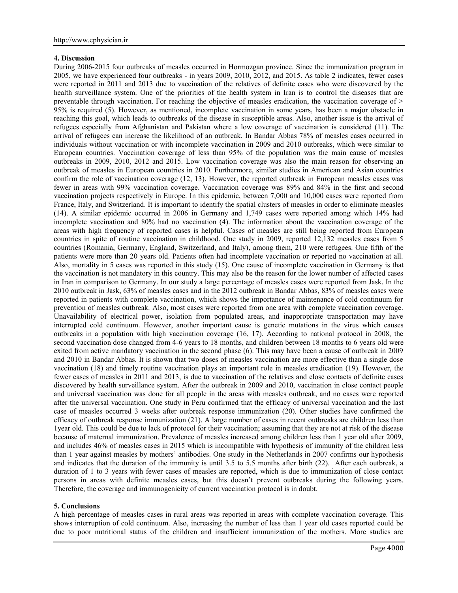## **4. Discussion**

During 2006-2015 four outbreaks of measles occurred in Hormozgan province. Since the immunization program in 2005, we have experienced four outbreaks - in years 2009, 2010, 2012, and 2015. As table 2 indicates, fewer cases were reported in 2011 and 2013 due to vaccination of the relatives of definite cases who were discovered by the health surveillance system. One of the priorities of the health system in Iran is to control the diseases that are preventable through vaccination. For reaching the objective of measles eradication, the vaccination coverage of > 95% is required (5). However, as mentioned, incomplete vaccination in some years, has been a major obstacle in reaching this goal, which leads to outbreaks of the disease in susceptible areas. Also, another issue is the arrival of refugees especially from Afghanistan and Pakistan where a low coverage of vaccination is considered (11). The arrival of refugees can increase the likelihood of an outbreak. In Bandar Abbas 78% of measles cases occurred in individuals without vaccination or with incomplete vaccination in 2009 and 2010 outbreaks, which were similar to European countries. Vaccination coverage of less than 95% of the population was the main cause of measles outbreaks in 2009, 2010, 2012 and 2015. Low vaccination coverage was also the main reason for observing an outbreak of measles in European countries in 2010. Furthermore, similar studies in American and Asian countries confirm the role of vaccination coverage (12, 13). However, the reported outbreak in European measles cases was fewer in areas with 99% vaccination coverage. Vaccination coverage was 89% and 84% in the first and second vaccination projects respectively in Europe. In this epidemic, between 7,000 and 10,000 cases were reported from France, Italy, and Switzerland. It is important to identify the spatial clusters of measles in order to eliminate measles (14). A similar epidemic occurred in 2006 in Germany and 1,749 cases were reported among which 14% had incomplete vaccination and 80% had no vaccination (4). The information about the vaccination coverage of the areas with high frequency of reported cases is helpful. Cases of measles are still being reported from European countries in spite of routine vaccination in childhood. One study in 2009, reported 12,132 measles cases from 5 countries (Romania, Germany, England, Switzerland, and Italy), among them, 210 were refugees. One fifth of the patients were more than 20 years old. Patients often had incomplete vaccination or reported no vaccination at all. Also, mortality in 5 cases was reported in this study (15). One cause of incomplete vaccination in Germany is that the vaccination is not mandatory in this country. This may also be the reason for the lower number of affected cases in Iran in comparison to Germany. In our study a large percentage of measles cases were reported from Jask. In the 2010 outbreak in Jask, 63% of measles cases and in the 2012 outbreak in Bandar Abbas, 83% of measles cases were reported in patients with complete vaccination, which shows the importance of maintenance of cold continuum for prevention of measles outbreak. Also, most cases were reported from one area with complete vaccination coverage. Unavailability of electrical power, isolation from populated areas, and inappropriate transportation may have interrupted cold continuum. However, another important cause is genetic mutations in the virus which causes outbreaks in a population with high vaccination coverage (16, 17). According to national protocol in 2008, the second vaccination dose changed from 4-6 years to 18 months, and children between 18 months to 6 years old were exited from active mandatory vaccination in the second phase (6). This may have been a cause of outbreak in 2009 and 2010 in Bandar Abbas. It is shown that two doses of measles vaccination are more effective than a single dose vaccination (18) and timely routine vaccination plays an important role in measles eradication (19). However, the fewer cases of measles in 2011 and 2013, is due to vaccination of the relatives and close contacts of definite cases discovered by health surveillance system. After the outbreak in 2009 and 2010, vaccination in close contact people and universal vaccination was done for all people in the areas with measles outbreak, and no cases were reported after the universal vaccination. One study in Peru confirmed that the efficacy of universal vaccination and the last case of measles occurred 3 weeks after outbreak response immunization (20). Other studies have confirmed the efficacy of outbreak response immunization (21). A large number of cases in recent outbreaks are children less than 1year old. This could be due to lack of protocol for their vaccination; assuming that they are not at risk of the disease because of maternal immunization. Prevalence of measles increased among children less than 1 year old after 2009, and includes 46% of measles cases in 2015 which is incompatible with hypothesis of immunity of the children less than 1 year against measles by mothers' antibodies. One study in the Netherlands in 2007 confirms our hypothesis and indicates that the duration of the immunity is until 3.5 to 5.5 months after birth (22). After each outbreak, a duration of 1 to 3 years with fewer cases of measles are reported, which is due to immunization of close contact persons in areas with definite measles cases, but this doesn't prevent outbreaks during the following years. Therefore, the coverage and immunogenicity of current vaccination protocol is in doubt.

# **5. Conclusions**

A high percentage of measles cases in rural areas was reported in areas with complete vaccination coverage. This shows interruption of cold continuum. Also, increasing the number of less than 1 year old cases reported could be due to poor nutritional status of the children and insufficient immunization of the mothers. More studies are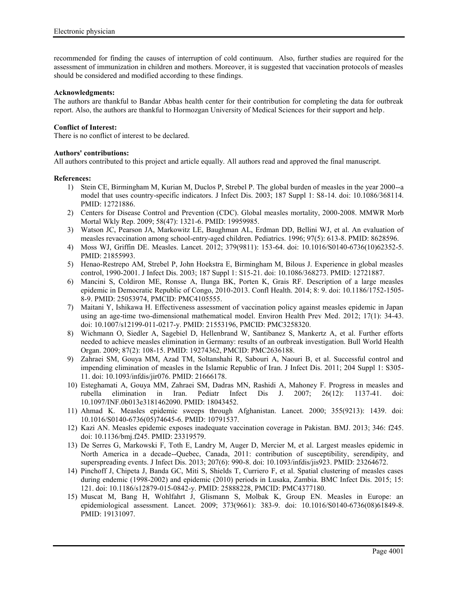recommended for finding the causes of interruption of cold continuum. Also, further studies are required for the assessment of immunization in children and mothers. Moreover, it is suggested that vaccination protocols of measles should be considered and modified according to these findings.

# **Acknowledgments:**

The authors are thankful to Bandar Abbas health center for their contribution for completing the data for outbreak report. Also, the authors are thankful to Hormozgan University of Medical Sciences for their support and help.

# **Conflict of Interest:**

There is no conflict of interest to be declared.

## **Authors' contributions:**

All authors contributed to this project and article equally. All authors read and approved the final manuscript.

#### **References:**

- 1) Stein CE, Birmingham M, Kurian M, Duclos P, Strebel P. The global burden of measles in the year 2000--a model that uses country-specific indicators. J Infect Dis. 2003; 187 Suppl 1: S8-14. doi: 10.1086/368114. PMID: 12721886.
- 2) Centers for Disease Control and Prevention (CDC). Global measles mortality, 2000-2008. MMWR Morb Mortal Wkly Rep. 2009; 58(47): 1321-6. PMID: 19959985.
- 3) Watson JC, Pearson JA, Markowitz LE, Baughman AL, Erdman DD, Bellini WJ, et al. An evaluation of measles revaccination among school-entry-aged children. Pediatrics. 1996; 97(5): 613-8. PMID: 8628596.
- 4) Moss WJ, Griffin DE. Measles. Lancet. 2012; 379(9811): 153-64. doi: 10.1016/S0140-6736(10)62352-5. PMID: 21855993.
- 5) Henao-Restrepo AM, Strebel P, John Hoekstra E, Birmingham M, Bilous J. Experience in global measles control, 1990-2001. J Infect Dis. 2003; 187 Suppl 1: S15-21. doi: 10.1086/368273. PMID: 12721887.
- 6) Mancini S, Coldiron ME, Ronsse A, Ilunga BK, Porten K, Grais RF. Description of a large measles epidemic in Democratic Republic of Congo, 2010-2013. Confl Health. 2014; 8: 9. doi: 10.1186/1752-1505- 8-9. PMID: 25053974, PMCID: PMC4105555.
- 7) Maitani Y, Ishikawa H. Effectiveness assessment of vaccination policy against measles epidemic in Japan using an age-time two-dimensional mathematical model. Environ Health Prev Med. 2012; 17(1): 34-43. doi: 10.1007/s12199-011-0217-y. PMID: 21553196, PMCID: PMC3258320.
- 8) Wichmann O, Siedler A, Sagebiel D, Hellenbrand W, Santibanez S, Mankertz A, et al. Further efforts needed to achieve measles elimination in Germany: results of an outbreak investigation. Bull World Health Organ. 2009; 87(2): 108-15. PMID: 19274362, PMCID: PMC2636188.
- 9) Zahraei SM, Gouya MM, Azad TM, Soltanshahi R, Sabouri A, Naouri B, et al. Successful control and impending elimination of measles in the Islamic Republic of Iran. J Infect Dis. 2011; 204 Suppl 1: S305- 11. doi: 10.1093/infdis/jir076. PMID: 21666178.
- 10) Esteghamati A, Gouya MM, Zahraei SM, Dadras MN, Rashidi A, Mahoney F. Progress in measles and rubella elimination in Iran. Pediatr Infect Dis J. 2007; 26(12): 1137-41. doi: 10.1097/INF.0b013e3181462090. PMID: 18043452.
- 11) Ahmad K. Measles epidemic sweeps through Afghanistan. Lancet. 2000; 355(9213): 1439. doi: 10.1016/S0140-6736(05)74645-6. PMID: 10791537.
- 12) Kazi AN. Measles epidemic exposes inadequate vaccination coverage in Pakistan. BMJ. 2013; 346: f245. doi: 10.1136/bmj.f245. PMID: 23319579.
- 13) De Serres G, Markowski F, Toth E, Landry M, Auger D, Mercier M, et al. Largest measles epidemic in North America in a decade--Quebec, Canada, 2011: contribution of susceptibility, serendipity, and superspreading events. J Infect Dis. 2013; 207(6): 990-8. doi: 10.1093/infdis/jis923. PMID: 23264672.
- 14) Pinchoff J, Chipeta J, Banda GC, Miti S, Shields T, Curriero F, et al. Spatial clustering of measles cases during endemic (1998-2002) and epidemic (2010) periods in Lusaka, Zambia. BMC Infect Dis. 2015; 15: 121. doi: 10.1186/s12879-015-0842-y. PMID: 25888228, PMCID: PMC4377180.
- 15) Muscat M, Bang H, Wohlfahrt J, Glismann S, Molbak K, Group EN. Measles in Europe: an epidemiological assessment. Lancet. 2009; 373(9661): 383-9. doi: 10.1016/S0140-6736(08)61849-8. PMID: 19131097.